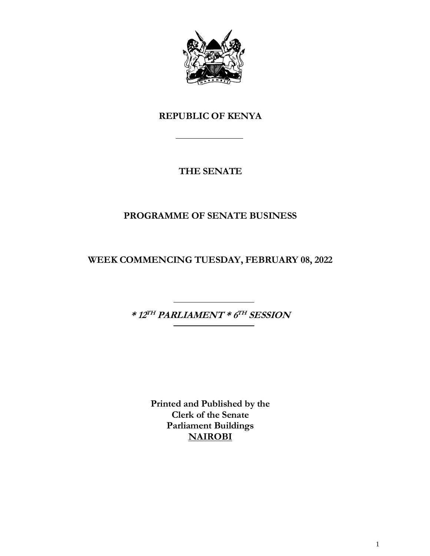

## **REPUBLIC OF KENYA**

## **THE SENATE**

## **PROGRAMME OF SENATE BUSINESS**

**WEEK COMMENCING TUESDAY, FEBRUARY 08, 2022**

**\* 12 TH PARLIAMENT \* 6 TH SESSION**

**Printed and Published by the Clerk of the Senate Parliament Buildings NAIROBI**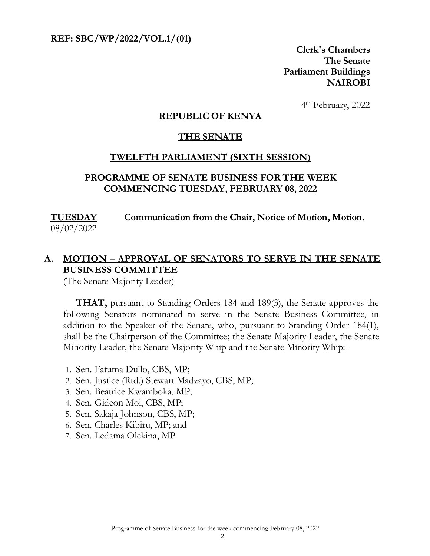**REF: SBC/WP/2022/VOL.1/(01)** 

**Clerk's Chambers The Senate Parliament Buildings NAIROBI**

 4 4<sup>th</sup> February, 2022

#### **REPUBLIC OF KENYA**

#### **THE SENATE**

#### **TWELFTH PARLIAMENT (SIXTH SESSION)**

#### **PROGRAMME OF SENATE BUSINESS FOR THE WEEK COMMENCING TUESDAY, FEBRUARY 08, 2022**

#### **TUESDAY Communication from the Chair, Notice of Motion, Motion.**

08/02/2022

## **A. MOTION – APPROVAL OF SENATORS TO SERVE IN THE SENATE BUSINESS COMMITTEE**

(The Senate Majority Leader)

**THAT,** pursuant to Standing Orders 184 and 189(3), the Senate approves the following Senators nominated to serve in the Senate Business Committee, in addition to the Speaker of the Senate, who, pursuant to Standing Order 184(1), shall be the Chairperson of the Committee; the Senate Majority Leader, the Senate Minority Leader, the Senate Majority Whip and the Senate Minority Whip:-

- 1. Sen. Fatuma Dullo, CBS, MP;
- 2. Sen. Justice (Rtd.) Stewart Madzayo, CBS, MP;
- 3. Sen. Beatrice Kwamboka, MP;
- 4. Sen. Gideon Moi, CBS, MP;
- 5. Sen. Sakaja Johnson, CBS, MP;
- 6. Sen. Charles Kibiru, MP; and
- 7. Sen. Ledama Olekina, MP.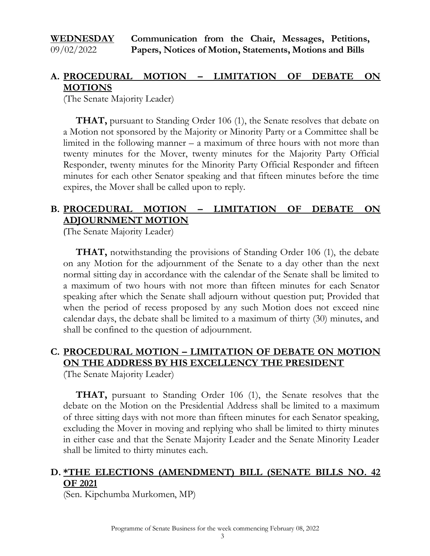#### **WEDNESDAY**  09/02/2022 **Communication from the Chair, Messages, Petitions, Papers, Notices of Motion, Statements, Motions and Bills**

## **A. PROCEDURAL MOTION – LIMITATION OF DEBATE ON MOTIONS**

(The Senate Majority Leader)

**THAT,** pursuant to Standing Order 106 (1), the Senate resolves that debate on a Motion not sponsored by the Majority or Minority Party or a Committee shall be limited in the following manner – a maximum of three hours with not more than twenty minutes for the Mover, twenty minutes for the Majority Party Official Responder, twenty minutes for the Minority Party Official Responder and fifteen minutes for each other Senator speaking and that fifteen minutes before the time expires, the Mover shall be called upon to reply.

## **B. PROCEDURAL MOTION – LIMITATION OF DEBATE ON ADJOURNMENT MOTION**

(The Senate Majority Leader)

**THAT,** notwithstanding the provisions of Standing Order 106 (1), the debate on any Motion for the adjournment of the Senate to a day other than the next normal sitting day in accordance with the calendar of the Senate shall be limited to a maximum of two hours with not more than fifteen minutes for each Senator speaking after which the Senate shall adjourn without question put; Provided that when the period of recess proposed by any such Motion does not exceed nine calendar days, the debate shall be limited to a maximum of thirty (30) minutes, and shall be confined to the question of adjournment.

## **C. PROCEDURAL MOTION – LIMITATION OF DEBATE ON MOTION ON THE ADDRESS BY HIS EXCELLENCY THE PRESIDENT**

(The Senate Majority Leader)

**THAT,** pursuant to Standing Order 106 (1), the Senate resolves that the debate on the Motion on the Presidential Address shall be limited to a maximum of three sitting days with not more than fifteen minutes for each Senator speaking, excluding the Mover in moving and replying who shall be limited to thirty minutes in either case and that the Senate Majority Leader and the Senate Minority Leader shall be limited to thirty minutes each.

## **D. \*THE ELECTIONS (AMENDMENT) BILL (SENATE BILLS NO. 42 OF 2021**

(Sen. Kipchumba Murkomen, MP)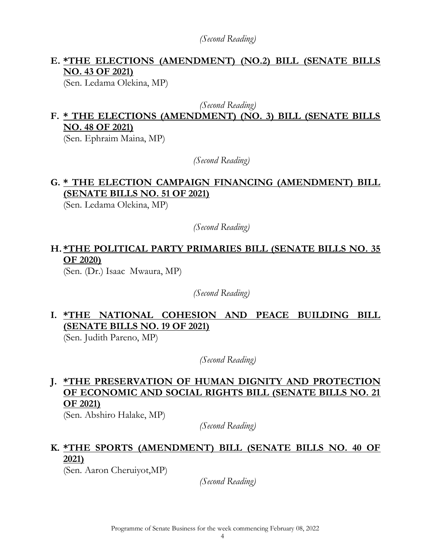*(Second Reading)*

## **E. \*THE ELECTIONS (AMENDMENT) (NO.2) BILL (SENATE BILLS NO. 43 OF 2021)**

(Sen. Ledama Olekina, MP)

*(Second Reading)*

# **F. \* THE ELECTIONS (AMENDMENT) (NO. 3) BILL (SENATE BILLS NO. 48 OF 2021)**

(Sen. Ephraim Maina, MP)

*(Second Reading)*

## **G. \* THE ELECTION CAMPAIGN FINANCING (AMENDMENT) BILL (SENATE BILLS NO. 51 OF 2021)**

(Sen. Ledama Olekina, MP)

*(Second Reading)*

## **H. \*THE POLITICAL PARTY PRIMARIES BILL (SENATE BILLS NO. 35 OF 2020)**

(Sen. (Dr.) Isaac Mwaura, MP)

*(Second Reading)*

**I. \*THE NATIONAL COHESION AND PEACE BUILDING BILL (SENATE BILLS NO. 19 OF 2021)**

(Sen. Judith Pareno, MP)

*(Second Reading)*

## **J. \*THE PRESERVATION OF HUMAN DIGNITY AND PROTECTION OF ECONOMIC AND SOCIAL RIGHTS BILL (SENATE BILLS NO. 21 OF 2021)**

(Sen. Abshiro Halake, MP)

*(Second Reading)*

## **K. \*THE SPORTS (AMENDMENT) BILL (SENATE BILLS NO. 40 OF 2021)**

(Sen. Aaron Cheruiyot,MP)

*(Second Reading)*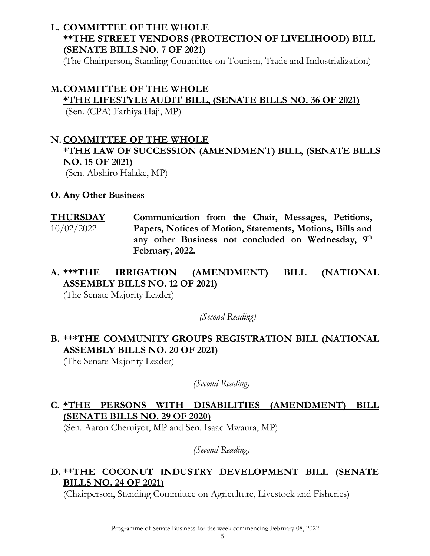## **L. COMMITTEE OF THE WHOLE \*\*THE STREET VENDORS (PROTECTION OF LIVELIHOOD) BILL (SENATE BILLS NO. 7 OF 2021)**

(The Chairperson, Standing Committee on Tourism, Trade and Industrialization)

#### **M.COMMITTEE OF THE WHOLE**

**\*THE LIFESTYLE AUDIT BILL, (SENATE BILLS NO. 36 OF 2021)**

(Sen. (CPA) Farhiya Haji, MP)

## **N. COMMITTEE OF THE WHOLE \*THE LAW OF SUCCESSION (AMENDMENT) BILL, (SENATE BILLS NO. 15 OF 2021)** (Sen. Abshiro Halake, MP)

#### **O. Any Other Business**

**THURSDAY**  10/02/2022 **Communication from the Chair, Messages, Petitions, Papers, Notices of Motion, Statements, Motions, Bills and**  any other Business not concluded on Wednesday, 9<sup>th</sup> **February, 2022.**

## **A. \*\*\*THE IRRIGATION (AMENDMENT) BILL (NATIONAL ASSEMBLY BILLS NO. 12 OF 2021)**

(The Senate Majority Leader)

*(Second Reading)*

## **B. \*\*\*THE COMMUNITY GROUPS REGISTRATION BILL (NATIONAL ASSEMBLY BILLS NO. 20 OF 2021)**

(The Senate Majority Leader)

*(Second Reading)*

## **C. \*THE PERSONS WITH DISABILITIES (AMENDMENT) BILL (SENATE BILLS NO. 29 OF 2020)**

(Sen. Aaron Cheruiyot, MP and Sen. Isaac Mwaura, MP)

*(Second Reading)*

## **D. \*\*THE COCONUT INDUSTRY DEVELOPMENT BILL (SENATE BILLS NO. 24 OF 2021)**

(Chairperson, Standing Committee on Agriculture, Livestock and Fisheries)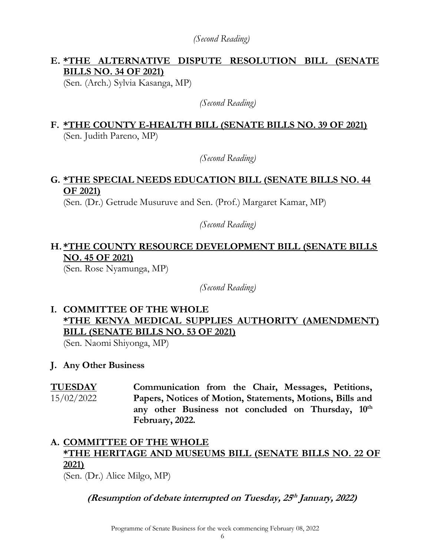*(Second Reading)*

## **E. \*THE ALTERNATIVE DISPUTE RESOLUTION BILL (SENATE BILLS NO. 34 OF 2021)**

(Sen. (Arch.) Sylvia Kasanga, MP)

*(Second Reading)*

## **F. \*THE COUNTY E-HEALTH BILL (SENATE BILLS NO. 39 OF 2021)**  (Sen. Judith Pareno, MP)

*(Second Reading)*

## **G. \*THE SPECIAL NEEDS EDUCATION BILL (SENATE BILLS NO. 44 OF 2021)**

(Sen. (Dr.) Getrude Musuruve and Sen. (Prof.) Margaret Kamar, MP)

*(Second Reading)*

## **H. \*THE COUNTY RESOURCE DEVELOPMENT BILL (SENATE BILLS NO. 45 OF 2021)**

(Sen. Rose Nyamunga, MP)

*(Second Reading)*

# **I. COMMITTEE OF THE WHOLE \*THE KENYA MEDICAL SUPPLIES AUTHORITY (AMENDMENT) BILL (SENATE BILLS NO. 53 OF 2021)**

(Sen. Naomi Shiyonga, MP)

#### **J. Any Other Business**

**TUESDAY**  15/02/2022 **Communication from the Chair, Messages, Petitions, Papers, Notices of Motion, Statements, Motions, Bills and any other Business not concluded on Thursday, 10th February, 2022.**

# **A. COMMITTEE OF THE WHOLE \*THE HERITAGE AND MUSEUMS BILL (SENATE BILLS NO. 22 OF 2021)**

(Sen. (Dr.) Alice Milgo, MP)

**(Resumption of debate interrupted on Tuesday, 25 th January, 2022)**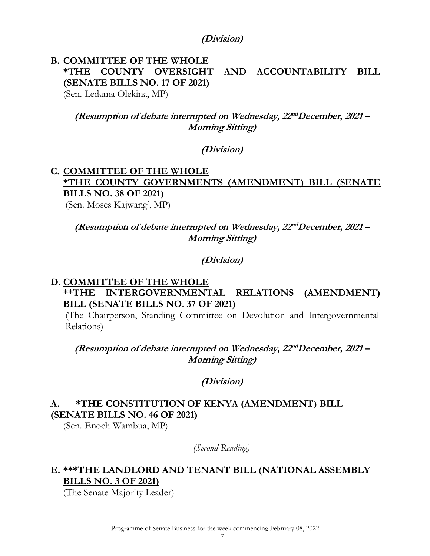#### **(Division)**

# **B. COMMITTEE OF THE WHOLE \*THE COUNTY OVERSIGHT AND ACCOUNTABILITY BILL (SENATE BILLS NO. 17 OF 2021)**

(Sen. Ledama Olekina, MP)

## **(Resumption of debate interrupted on Wednesday, 22 ndDecember, 2021 – Morning Sitting)**

#### **(Division)**

#### **C. COMMITTEE OF THE WHOLE \*THE COUNTY GOVERNMENTS (AMENDMENT) BILL (SENATE BILLS NO. 38 OF 2021)** (Sen. Moses Kajwang', MP)

#### **(Resumption of debate interrupted on Wednesday, 22 ndDecember, 2021 – Morning Sitting)**

#### **(Division)**

#### **D. COMMITTEE OF THE WHOLE \*\*THE INTERGOVERNMENTAL RELATIONS (AMENDMENT) BILL (SENATE BILLS NO. 37 OF 2021)**

(The Chairperson, Standing Committee on Devolution and Intergovernmental Relations)

**(Resumption of debate interrupted on Wednesday, 22 ndDecember, 2021 – Morning Sitting)**

#### **(Division)**

## **A. \*THE CONSTITUTION OF KENYA (AMENDMENT) BILL (SENATE BILLS NO. 46 OF 2021)**

(Sen. Enoch Wambua, MP)

*(Second Reading)*

## **E. \*\*\*THE LANDLORD AND TENANT BILL (NATIONAL ASSEMBLY BILLS NO. 3 OF 2021)**

(The Senate Majority Leader)